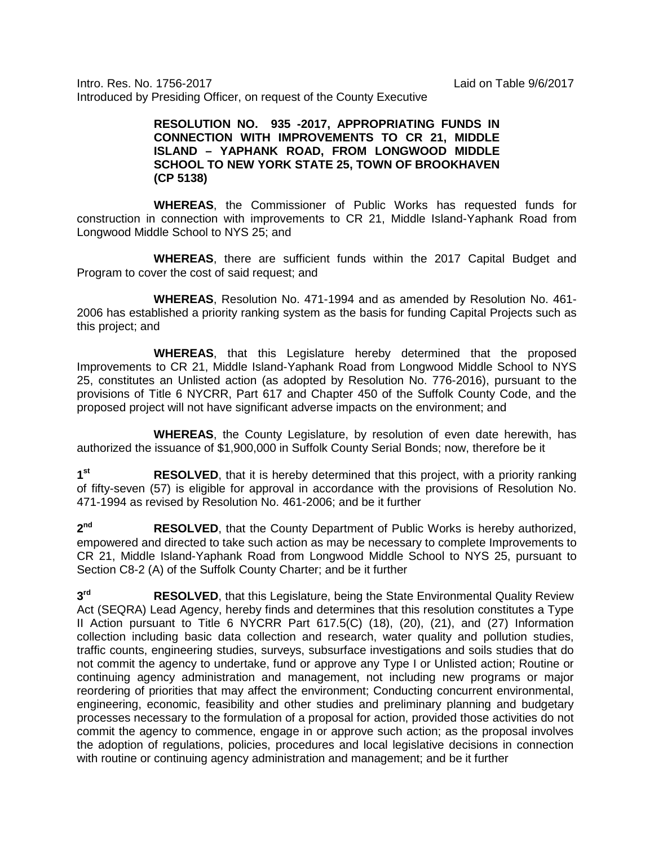Intro. Res. No. 1756-2017 Laid on Table 9/6/2017 Introduced by Presiding Officer, on request of the County Executive

## **RESOLUTION NO. 935 -2017, APPROPRIATING FUNDS IN CONNECTION WITH IMPROVEMENTS TO CR 21, MIDDLE ISLAND – YAPHANK ROAD, FROM LONGWOOD MIDDLE SCHOOL TO NEW YORK STATE 25, TOWN OF BROOKHAVEN (CP 5138)**

**WHEREAS**, the Commissioner of Public Works has requested funds for construction in connection with improvements to CR 21, Middle Island-Yaphank Road from Longwood Middle School to NYS 25; and

**WHEREAS**, there are sufficient funds within the 2017 Capital Budget and Program to cover the cost of said request; and

**WHEREAS**, Resolution No. 471-1994 and as amended by Resolution No. 461- 2006 has established a priority ranking system as the basis for funding Capital Projects such as this project; and

**WHEREAS**, that this Legislature hereby determined that the proposed Improvements to CR 21, Middle Island-Yaphank Road from Longwood Middle School to NYS 25, constitutes an Unlisted action (as adopted by Resolution No. 776-2016), pursuant to the provisions of Title 6 NYCRR, Part 617 and Chapter 450 of the Suffolk County Code, and the proposed project will not have significant adverse impacts on the environment; and

**WHEREAS**, the County Legislature, by resolution of even date herewith, has authorized the issuance of \$1,900,000 in Suffolk County Serial Bonds; now, therefore be it

**1st RESOLVED**, that it is hereby determined that this project, with a priority ranking of fifty-seven (57) is eligible for approval in accordance with the provisions of Resolution No. 471-1994 as revised by Resolution No. 461-2006; and be it further

**2nd RESOLVED**, that the County Department of Public Works is hereby authorized, empowered and directed to take such action as may be necessary to complete Improvements to CR 21, Middle Island-Yaphank Road from Longwood Middle School to NYS 25, pursuant to Section C8-2 (A) of the Suffolk County Charter; and be it further

**3rd RESOLVED**, that this Legislature, being the State Environmental Quality Review Act (SEQRA) Lead Agency, hereby finds and determines that this resolution constitutes a Type II Action pursuant to Title 6 NYCRR Part 617.5(C) (18), (20), (21), and (27) Information collection including basic data collection and research, water quality and pollution studies, traffic counts, engineering studies, surveys, subsurface investigations and soils studies that do not commit the agency to undertake, fund or approve any Type I or Unlisted action; Routine or continuing agency administration and management, not including new programs or major reordering of priorities that may affect the environment; Conducting concurrent environmental, engineering, economic, feasibility and other studies and preliminary planning and budgetary processes necessary to the formulation of a proposal for action, provided those activities do not commit the agency to commence, engage in or approve such action; as the proposal involves the adoption of regulations, policies, procedures and local legislative decisions in connection with routine or continuing agency administration and management; and be it further